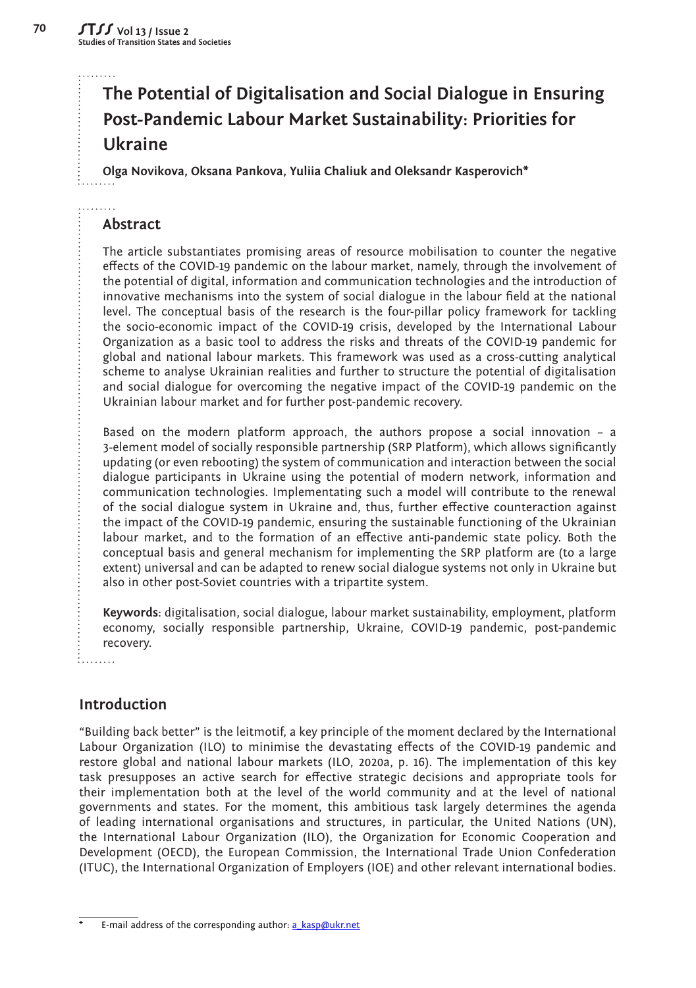# **The Potential of Digitalisation and Social Dialogue in Ensuring Post-Pandemic Labour Market Sustainability: Priorities for Ukraine**

**Olga Novikova, Oksana Pankova, Yuliia Chaliuk and Oleksandr Kasperovich\***

# **Abstract**

The article substantiates promising areas of resource mobilisation to counter the negative effects of the COVID-19 pandemic on the labour market, namely, through the involvement of the potential of digital, information and communication technologies and the introduction of innovative mechanisms into the system of social dialogue in the labour field at the national level. The conceptual basis of the research is the four-pillar policy framework for tackling the socio-economic impact of the COVID-19 crisis, developed by the International Labour Organization as a basic tool to address the risks and threats of the COVID-19 pandemic for global and national labour markets. This framework was used as a cross-cutting analytical scheme to analyse Ukrainian realities and further to structure the potential of digitalisation and social dialogue for overcoming the negative impact of the COVID-19 pandemic on the Ukrainian labour market and for further post-pandemic recovery.

Based on the modern platform approach, the authors propose a social innovation – a 3-element model of socially responsible partnership (SRP Platform), which allows significantly updating (or even rebooting) the system of communication and interaction between the social dialogue participants in Ukraine using the potential of modern network, information and communication technologies. Implementating such a model will contribute to the renewal of the social dialogue system in Ukraine and, thus, further effective counteraction against the impact of the COVID-19 pandemic, ensuring the sustainable functioning of the Ukrainian labour market, and to the formation of an effective anti-pandemic state policy. Both the conceptual basis and general mechanism for implementing the SRP platform are (to a large extent) universal and can be adapted to renew social dialogue systems not only in Ukraine but also in other post-Soviet countries with a tripartite system.

**Keywords**: digitalisation, social dialogue, labour market sustainability, employment, platform economy, socially responsible partnership, Ukraine, COVID-19 pandemic, post-pandemic recovery.

ille de la ca

# **Introduction**

"Building back better" is the leitmotif, a key principle of the moment declared by the International Labour Organization (ILO) to minimise the devastating effects of the COVID-19 pandemic and restore global and national labour markets (ILO, 2020a, p. 16). The implementation of this key task presupposes an active search for effective strategic decisions and appropriate tools for their implementation both at the level of the world community and at the level of national governments and states. For the moment, this ambitious task largely determines the agenda of leading international organisations and structures, in particular, the United Nations (UN), the International Labour Organization (ILO), the Organization for Economic Cooperation and Development (OECD), the European Commission, the International Trade Union Confederation (ITUC), the International Organization of Employers (IOE) and other relevant international bodies.

E-mail address of the corresponding author: a kasp@ukr.net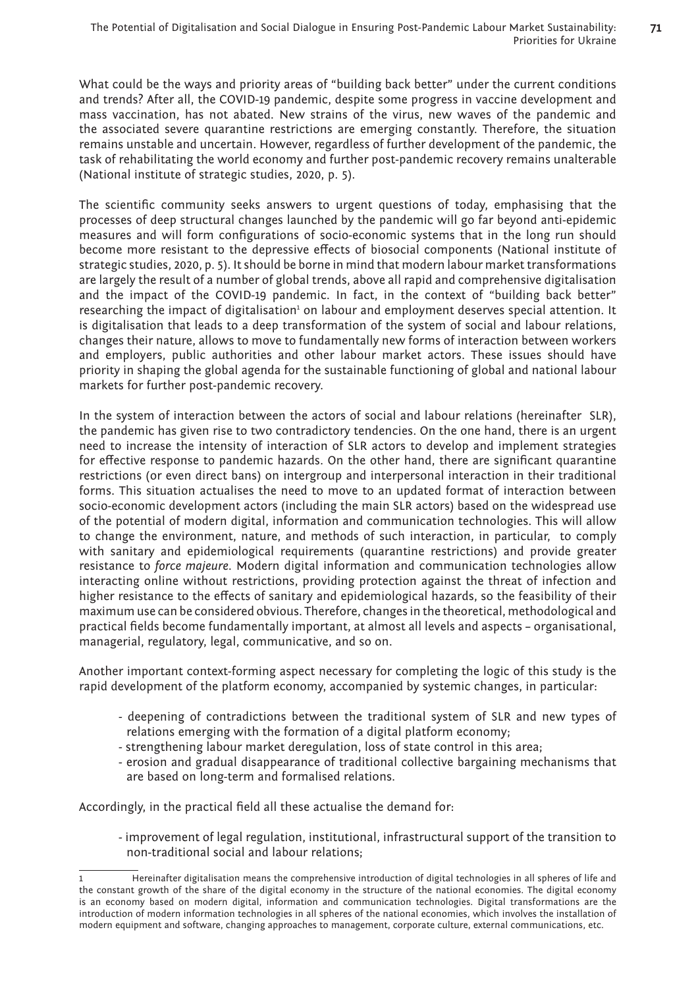What could be the ways and priority areas of "building back better" under the current conditions and trends? After all, the COVID-19 pandemic, despite some progress in vaccine development and mass vaccination, has not abated. New strains of the virus, new waves of the pandemic and the associated severe quarantine restrictions are emerging constantly. Therefore, the situation remains unstable and uncertain. However, regardless of further development of the pandemic, the task of rehabilitating the world economy and further post-pandemic recovery remains unalterable (National institute of strategic studies, 2020, p. 5).

The scientific community seeks answers to urgent questions of today, emphasising that the processes of deep structural changes launched by the pandemic will go far beyond anti-epidemic measures and will form configurations of socio-economic systems that in the long run should become more resistant to the depressive effects of biosocial components (National institute of strategic studies, 2020, p. 5). It should be borne in mind that modern labour market transformations are largely the result of a number of global trends, above all rapid and comprehensive digitalisation and the impact of the COVID-19 pandemic. In fact, in the context of "building back better" researching the impact of digitalisation<sup>1</sup> on labour and employment deserves special attention. It is digitalisation that leads to a deep transformation of the system of social and labour relations, changes their nature, allows to move to fundamentally new forms of interaction between workers and employers, public authorities and other labour market actors. These issues should have priority in shaping the global agenda for the sustainable functioning of global and national labour markets for further post-pandemic recovery.

In the system of interaction between the actors of social and labour relations (hereinafter SLR), the pandemic has given rise to two contradictory tendencies. On the one hand, there is an urgent need to increase the intensity of interaction of SLR actors to develop and implement strategies for effective response to pandemic hazards. On the other hand, there are significant quarantine restrictions (or even direct bans) on intergroup and interpersonal interaction in their traditional forms. This situation actualises the need to move to an updated format of interaction between socio-economic development actors (including the main SLR actors) based on the widespread use of the potential of modern digital, information and communication technologies. This will allow to change the environment, nature, and methods of such interaction, in particular, to comply with sanitary and epidemiological requirements (quarantine restrictions) and provide greater resistance to *force majeure*. Modern digital information and communication technologies allow interacting online without restrictions, providing protection against the threat of infection and higher resistance to the effects of sanitary and epidemiological hazards, so the feasibility of their maximum use can be considered obvious. Therefore, changes in the theoretical, methodological and practical fields become fundamentally important, at almost all levels and aspects – organisational, managerial, regulatory, legal, communicative, and so on.

Another important context-forming aspect necessary for completing the logic of this study is the rapid development of the platform economy, accompanied by systemic changes, in particular:

- deepening of contradictions between the traditional system of SLR and new types of relations emerging with the formation of a digital platform economy;
- strengthening labour market deregulation, loss of state control in this area;
- erosion and gradual disappearance of traditional collective bargaining mechanisms that are based on long-term and formalised relations.

Accordingly, in the practical field all these actualise the demand for:

- improvement of legal regulation, institutional, infrastructural support of the transition to non-traditional social and labour relations;

<sup>1</sup> Hereinafter digitalisation means the comprehensive introduction of digital technologies in all spheres of life and the constant growth of the share of the digital economy in the structure of the national economies. The digital economy is an economy based on modern digital, information and communication technologies. Digital transformations are the introduction of modern information technologies in all spheres of the national economies, which involves the installation of modern equipment and software, changing approaches to management, corporate culture, external communications, etc.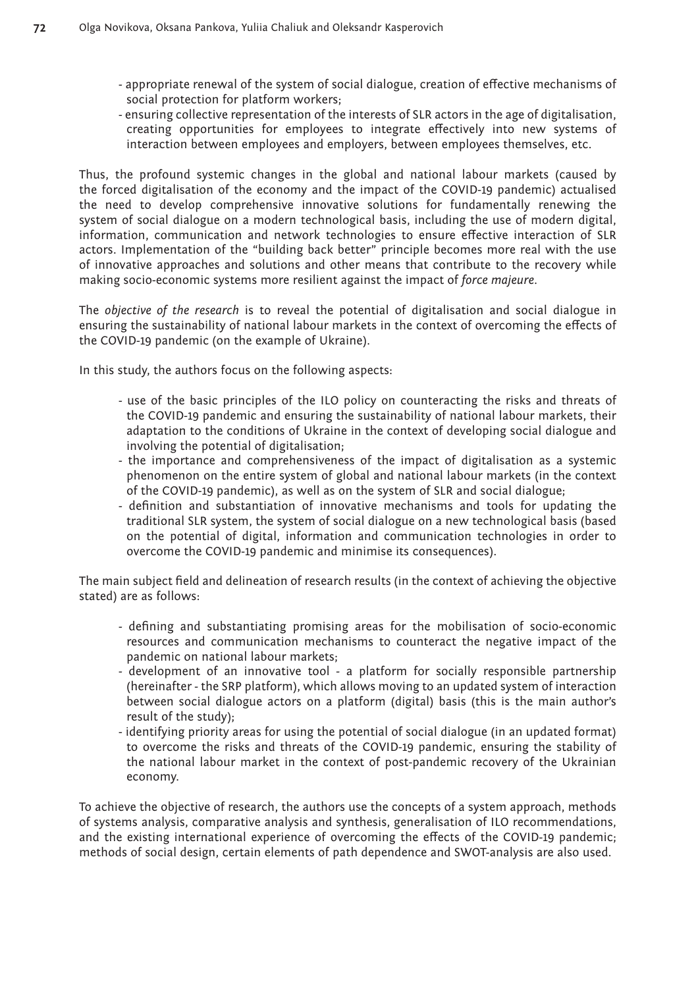- appropriate renewal of the system of social dialogue, creation of effective mechanisms of social protection for platform workers;
- ensuring collective representation of the interests of SLR actors in the age of digitalisation, creating opportunities for employees to integrate effectively into new systems of interaction between employees and employers, between employees themselves, etc.

Thus, the profound systemic changes in the global and national labour markets (caused by the forced digitalisation of the economy and the impact of the COVID-19 pandemic) actualised the need to develop comprehensive innovative solutions for fundamentally renewing the system of social dialogue on a modern technological basis, including the use of modern digital, information, communication and network technologies to ensure effective interaction of SLR actors. Implementation of the "building back better" principle becomes more real with the use of innovative approaches and solutions and other means that contribute to the recovery while making socio-economic systems more resilient against the impact of *force majeure*.

The *objective of the research* is to reveal the potential of digitalisation and social dialogue in ensuring the sustainability of national labour markets in the context of overcoming the effects of the COVID-19 pandemic (on the example of Ukraine).

In this study, the authors focus on the following aspects:

- use of the basic principles of the ILO policy on counteracting the risks and threats of the COVID-19 pandemic and ensuring the sustainability of national labour markets, their adaptation to the conditions of Ukraine in the context of developing social dialogue and involving the potential of digitalisation;
- the importance and comprehensiveness of the impact of digitalisation as a systemic phenomenon on the entire system of global and national labour markets (in the context of the COVID-19 pandemic), as well as on the system of SLR and social dialogue;
- definition and substantiation of innovative mechanisms and tools for updating the traditional SLR system, the system of social dialogue on a new technological basis (based on the potential of digital, information and communication technologies in order to overcome the COVID-19 pandemic and minimise its consequences).

The main subject field and delineation of research results (in the context of achieving the objective stated) are as follows:

- defining and substantiating promising areas for the mobilisation of socio-economic resources and communication mechanisms to counteract the negative impact of the pandemic on national labour markets;
- development of an innovative tool a platform for socially responsible partnership (hereinafter - the SRP platform), which allows moving to an updated system of interaction between social dialogue actors on a platform (digital) basis (this is the main author's result of the study);
- identifying priority areas for using the potential of social dialogue (in an updated format) to overcome the risks and threats of the COVID-19 pandemic, ensuring the stability of the national labour market in the context of post-pandemic recovery of the Ukrainian economy.

To achieve the objective of research, the authors use the concepts of a system approach, methods of systems analysis, comparative analysis and synthesis, generalisation of ILO recommendations, and the existing international experience of overcoming the effects of the COVID-19 pandemic; methods of social design, certain elements of path dependence and SWOT-analysis are also used.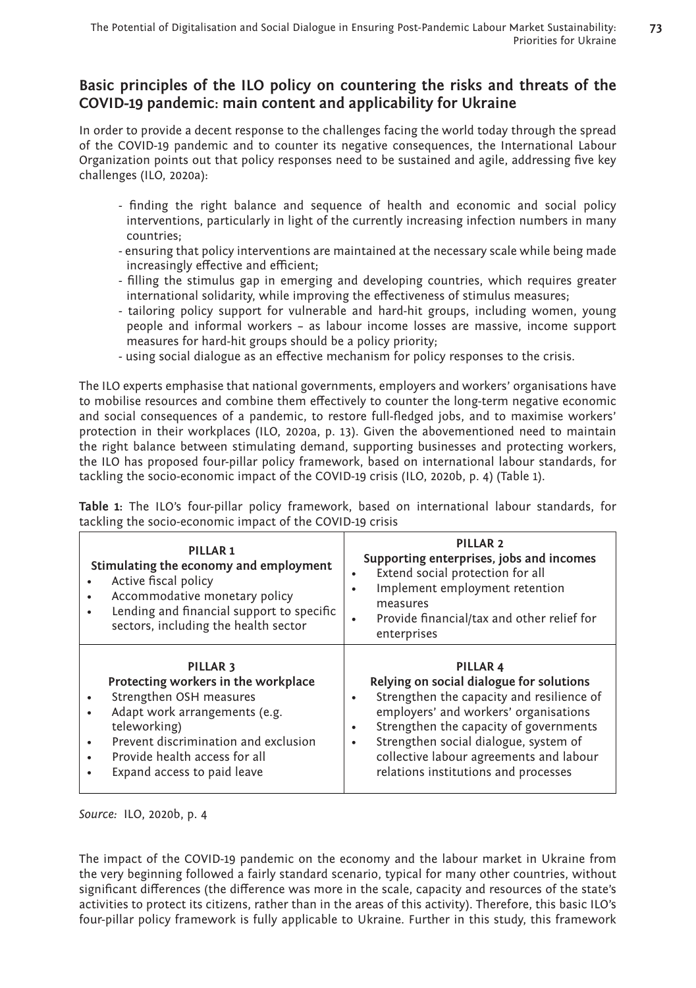# **Basic principles of the ILO policy on countering the risks and threats of the COVID-19 pandemic: main content and applicability for Ukraine**

In order to provide a decent response to the challenges facing the world today through the spread of the COVID-19 pandemic and to counter its negative consequences, the International Labour Organization points out that policy responses need to be sustained and agile, addressing five key challenges (ILO, 2020a):

- finding the right balance and sequence of health and economic and social policy interventions, particularly in light of the currently increasing infection numbers in many countries;
- ensuring that policy interventions are maintained at the necessary scale while being made increasingly effective and efficient;
- filling the stimulus gap in emerging and developing countries, which requires greater international solidarity, while improving the effectiveness of stimulus measures;
- tailoring policy support for vulnerable and hard-hit groups, including women, young people and informal workers – as labour income losses are massive, income support measures for hard-hit groups should be a policy priority;
- using social dialogue as an effective mechanism for policy responses to the crisis.

The ILO experts emphasise that national governments, employers and workers' organisations have to mobilise resources and combine them effectively to counter the long-term negative economic and social consequences of a pandemic, to restore full-fledged jobs, and to maximise workers' protection in their workplaces (ILO, 2020a, p. 13). Given the abovementioned need to maintain the right balance between stimulating demand, supporting businesses and protecting workers, the ILO has proposed four-pillar policy framework, based on international labour standards, for tackling the socio-economic impact of the COVID-19 crisis (ILO, 2020b, p. 4) (Table 1).

**Table 1:** The ILO's four-pillar policy framework, based on international labour standards, for tackling the socio-economic impact of the COVID-19 crisis

| PILLAR <sub>1</sub><br>Stimulating the economy and employment<br>Active fiscal policy<br>Accommodative monetary policy<br>$\bullet$<br>Lending and financial support to specific<br>$\bullet$<br>sectors, including the health sector                    | PILLAR <sub>2</sub><br>Supporting enterprises, jobs and incomes<br>Extend social protection for all<br>$\bullet$<br>Implement employment retention<br>٠<br>measures<br>Provide financial/tax and other relief for<br>٠<br>enterprises                                                                                                              |
|----------------------------------------------------------------------------------------------------------------------------------------------------------------------------------------------------------------------------------------------------------|----------------------------------------------------------------------------------------------------------------------------------------------------------------------------------------------------------------------------------------------------------------------------------------------------------------------------------------------------|
| PILLAR <sub>3</sub><br>Protecting workers in the workplace<br>Strengthen OSH measures<br>٠<br>Adapt work arrangements (e.g.<br>٠<br>teleworking)<br>Prevent discrimination and exclusion<br>Provide health access for all<br>Expand access to paid leave | PILLAR <sub>4</sub><br>Relying on social dialogue for solutions<br>Strengthen the capacity and resilience of<br>٠<br>employers' and workers' organisations<br>Strengthen the capacity of governments<br>$\bullet$<br>Strengthen social dialogue, system of<br>٠<br>collective labour agreements and labour<br>relations institutions and processes |

*Source:* ILO, 2020b, p. 4

The impact of the COVID-19 pandemic on the economy and the labour market in Ukraine from the very beginning followed a fairly standard scenario, typical for many other countries, without significant differences (the difference was more in the scale, capacity and resources of the state's activities to protect its citizens, rather than in the areas of this activity). Therefore, this basic ILO's four-pillar policy framework is fully applicable to Ukraine. Further in this study, this framework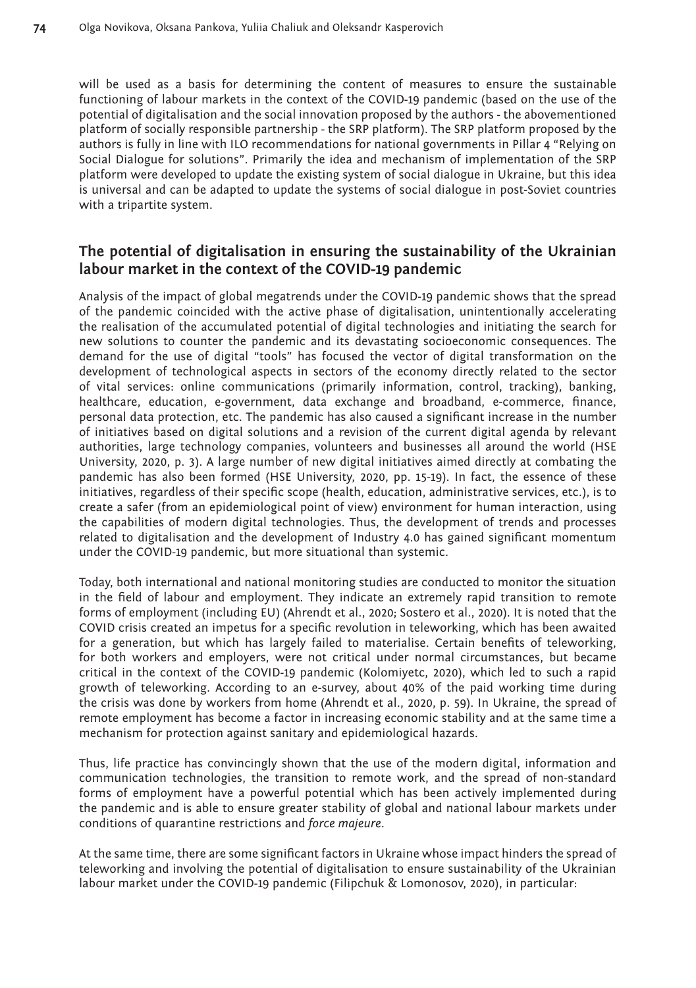will be used as a basis for determining the content of measures to ensure the sustainable functioning of labour markets in the context of the COVID-19 pandemic (based on the use of the potential of digitalisation and the social innovation proposed by the authors - the abovementioned platform of socially responsible partnership - the SRP platform). The SRP platform proposed by the authors is fully in line with ILO recommendations for national governments in Pillar 4 "Relying on Social Dialogue for solutions". Primarily the idea and mechanism of implementation of the SRP platform were developed to update the existing system of social dialogue in Ukraine, but this idea is universal and can be adapted to update the systems of social dialogue in post-Soviet countries with a tripartite system.

# **The potential of digitalisation in ensuring the sustainability of the Ukrainian labour market in the context of the COVID-19 pandemic**

Analysis of the impact of global megatrends under the COVID-19 pandemic shows that the spread of the pandemic coincided with the active phase of digitalisation, unintentionally accelerating the realisation of the accumulated potential of digital technologies and initiating the search for new solutions to counter the pandemic and its devastating socioeconomic consequences. The demand for the use of digital "tools" has focused the vector of digital transformation on the development of technological aspects in sectors of the economy directly related to the sector of vital services: online communications (primarily information, control, tracking), banking, healthcare, education, e-government, data exchange and broadband, e-commerce, finance, personal data protection, etc. The pandemic has also caused a significant increase in the number of initiatives based on digital solutions and a revision of the current digital agenda by relevant authorities, large technology companies, volunteers and businesses all around the world (HSE University, 2020, p. 3). A large number of new digital initiatives aimed directly at combating the pandemic has also been formed (HSE University, 2020, pp. 15-19). In fact, the essence of these initiatives, regardless of their specific scope (health, education, administrative services, etc.), is to create a safer (from an epidemiological point of view) environment for human interaction, using the capabilities of modern digital technologies. Thus, the development of trends and processes related to digitalisation and the development of Industry 4.0 has gained significant momentum under the COVID-19 pandemic, but more situational than systemic.

Today, both international and national monitoring studies are conducted to monitor the situation in the field of labour and employment. They indicate an extremely rapid transition to remote forms of employment (including EU) (Ahrendt et al., 2020; Sostero et al., 2020). It is noted that the COVID crisis created an impetus for a specific revolution in teleworking, which has been awaited for a generation, but which has largely failed to materialise. Certain benefits of teleworking, for both workers and employers, were not critical under normal circumstances, but became critical in the context of the COVID-19 pandemic (Kolomiyetc, 2020), which led to such a rapid growth of teleworking. According to an e-survey, about 40% of the paid working time during the crisis was done by workers from home (Ahrendt et al., 2020, p. 59). In Ukraine, the spread of remote employment has become a factor in increasing economic stability and at the same time a mechanism for protection against sanitary and epidemiological hazards.

Thus, life practice has convincingly shown that the use of the modern digital, information and communication technologies, the transition to remote work, and the spread of non-standard forms of employment have a powerful potential which has been actively implemented during the pandemic and is able to ensure greater stability of global and national labour markets under conditions of quarantine restrictions and *force majeure*.

At the same time, there are some significant factors in Ukraine whose impact hinders the spread of teleworking and involving the potential of digitalisation to ensure sustainability of the Ukrainian labour market under the COVID-19 pandemic (Filipchuk & Lomonosov, 2020), in particular: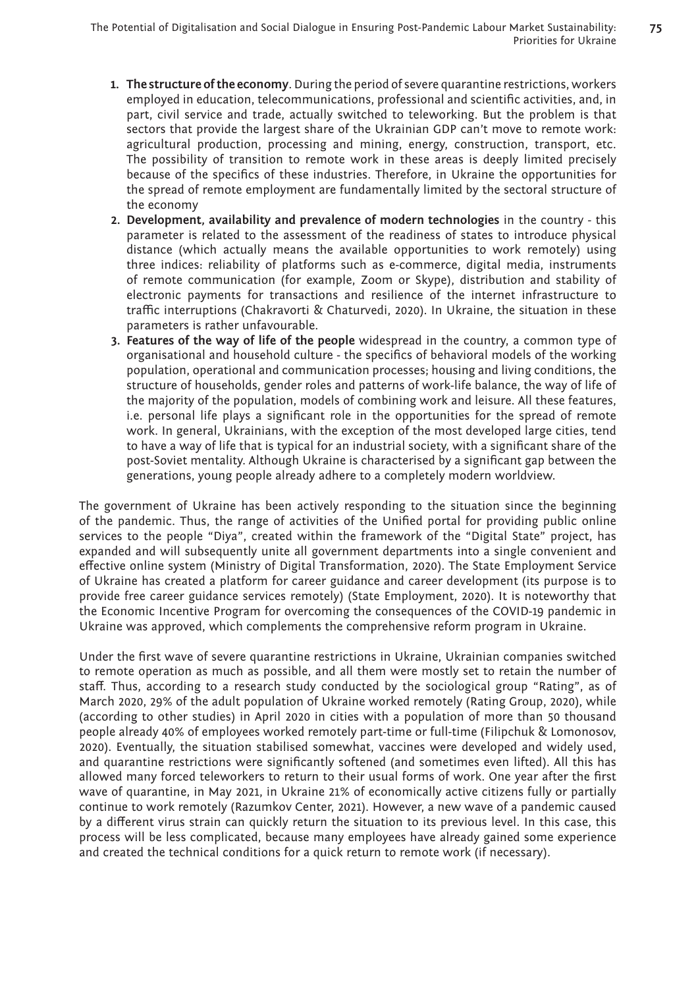- **1. The structure of the economy**. During the period of severe quarantine restrictions, workers employed in education, telecommunications, professional and scientific activities, and, in part, civil service and trade, actually switched to teleworking. But the problem is that sectors that provide the largest share of the Ukrainian GDP can't move to remote work: agricultural production, processing and mining, energy, construction, transport, etc. The possibility of transition to remote work in these areas is deeply limited precisely because of the specifics of these industries. Therefore, in Ukraine the opportunities for the spread of remote employment are fundamentally limited by the sectoral structure of the economy
- **2. Development, availability and prevalence of modern technologies** in the country this parameter is related to the assessment of the readiness of states to introduce physical distance (which actually means the available opportunities to work remotely) using three indices: reliability of platforms such as e-commerce, digital media, instruments of remote communication (for example, Zoom or Skype), distribution and stability of electronic payments for transactions and resilience of the internet infrastructure to traffic interruptions (Chakravorti & Chaturvedi, 2020). In Ukraine, the situation in these parameters is rather unfavourable.
- **3. Features of the way of life of the people** widespread in the country, a common type of organisational and household culture - the specifics of behavioral models of the working population, operational and communication processes; housing and living conditions, the structure of households, gender roles and patterns of work-life balance, the way of life of the majority of the population, models of combining work and leisure. All these features, i.e. personal life plays a significant role in the opportunities for the spread of remote work. In general, Ukrainians, with the exception of the most developed large cities, tend to have a way of life that is typical for an industrial society, with a significant share of the post-Soviet mentality. Although Ukraine is characterised by a significant gap between the generations, young people already adhere to a completely modern worldview.

The government of Ukraine has been actively responding to the situation since the beginning of the pandemic. Thus, the range of activities of the Unified portal for providing public online services to the people "Diya", created within the framework of the "Digital State" project, has expanded and will subsequently unite all government departments into a single convenient and effective online system (Ministry of Digital Transformation, 2020). The State Employment Service of Ukraine has created a platform for career guidance and career development (its purpose is to provide free career guidance services remotely) (State Employment, 2020). It is noteworthy that the Economic Incentive Program for overcoming the consequences of the COVID-19 pandemic in Ukraine was approved, which complements the comprehensive reform program in Ukraine.

Under the first wave of severe quarantine restrictions in Ukraine, Ukrainian companies switched to remote operation as much as possible, and all them were mostly set to retain the number of staff. Thus, according to a research study conducted by the sociological group "Rating", as of March 2020, 29% of the adult population of Ukraine worked remotely (Rating Group, 2020), while (according to other studies) in April 2020 in cities with a population of more than 50 thousand people already 40% of employees worked remotely part-time or full-time (Filipchuk & Lomonosov, 2020). Eventually, the situation stabilised somewhat, vaccines were developed and widely used, and quarantine restrictions were significantly softened (and sometimes even lifted). All this has allowed many forced teleworkers to return to their usual forms of work. One year after the first wave of quarantine, in May 2021, in Ukraine 21% of economically active citizens fully or partially continue to work remotely (Razumkov Center, 2021). However, a new wave of a pandemic caused by a different virus strain can quickly return the situation to its previous level. In this case, this process will be less complicated, because many employees have already gained some experience and created the technical conditions for a quick return to remote work (if necessary).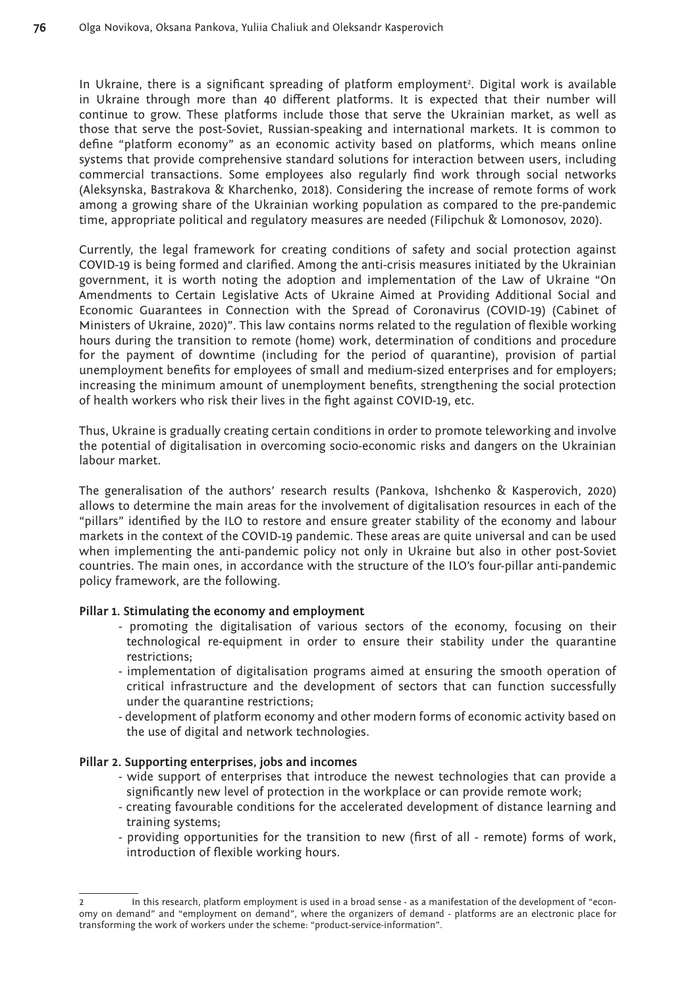In Ukraine, there is a significant spreading of platform employment2 . Digital work is available in Ukraine through more than 40 different platforms. It is expected that their number will continue to grow. These platforms include those that serve the Ukrainian market, as well as those that serve the post-Soviet, Russian-speaking and international markets. It is common to define "platform economy" as an economic activity based on platforms, which means online systems that provide comprehensive standard solutions for interaction between users, including commercial transactions. Some employees also regularly find work through social networks (Aleksynska, Bastrakova & Kharchenko, 2018). Considering the increase of remote forms of work among a growing share of the Ukrainian working population as compared to the pre-pandemic time, appropriate political and regulatory measures are needed (Filipchuk & Lomonosov, 2020).

Currently, the legal framework for creating conditions of safety and social protection against COVID-19 is being formed and clarified. Among the anti-crisis measures initiated by the Ukrainian government, it is worth noting the adoption and implementation of the Law of Ukraine "On Amendments to Certain Legislative Acts of Ukraine Aimed at Providing Additional Social and Economic Guarantees in Connection with the Spread of Coronavirus (COVID-19) (Cabinet of Ministers of Ukraine, 2020)". This law contains norms related to the regulation of flexible working hours during the transition to remote (home) work, determination of conditions and procedure for the payment of downtime (including for the period of quarantine), provision of partial unemployment benefits for employees of small and medium-sized enterprises and for employers; increasing the minimum amount of unemployment benefits, strengthening the social protection of health workers who risk their lives in the fight against COVID-19, etc.

Thus, Ukraine is gradually creating certain conditions in order to promote teleworking and involve the potential of digitalisation in overcoming socio-economic risks and dangers on the Ukrainian labour market.

The generalisation of the authors' research results (Pankova, Ishchenko & Kasperovich, 2020) allows to determine the main areas for the involvement of digitalisation resources in each of the "pillars" identified by the ILO to restore and ensure greater stability of the economy and labour markets in the context of the COVID-19 pandemic. These areas are quite universal and can be used when implementing the anti-pandemic policy not only in Ukraine but also in other post-Soviet countries. The main ones, in accordance with the structure of the ILO's four-pillar anti-pandemic policy framework, are the following.

#### **Pillar 1. Stimulating the economy and employment**

- promoting the digitalisation of various sectors of the economy, focusing on their technological re-equipment in order to ensure their stability under the quarantine restrictions;
- implementation of digitalisation programs aimed at ensuring the smooth operation of critical infrastructure and the development of sectors that can function successfully under the quarantine restrictions;
- development of platform economy and other modern forms of economic activity based on the use of digital and network technologies.

#### **Pillar 2. Supporting enterprises, jobs and incomes**

- wide support of enterprises that introduce the newest technologies that can provide a significantly new level of protection in the workplace or can provide remote work;
- creating favourable conditions for the accelerated development of distance learning and training systems;
- providing opportunities for the transition to new (first of all remote) forms of work, introduction of flexible working hours.

In this research, platform employment is used in a broad sense - as a manifestation of the development of "economy on demand" and "employment on demand", where the organizers of demand - platforms are an electronic place for transforming the work of workers under the scheme: "product-service-information".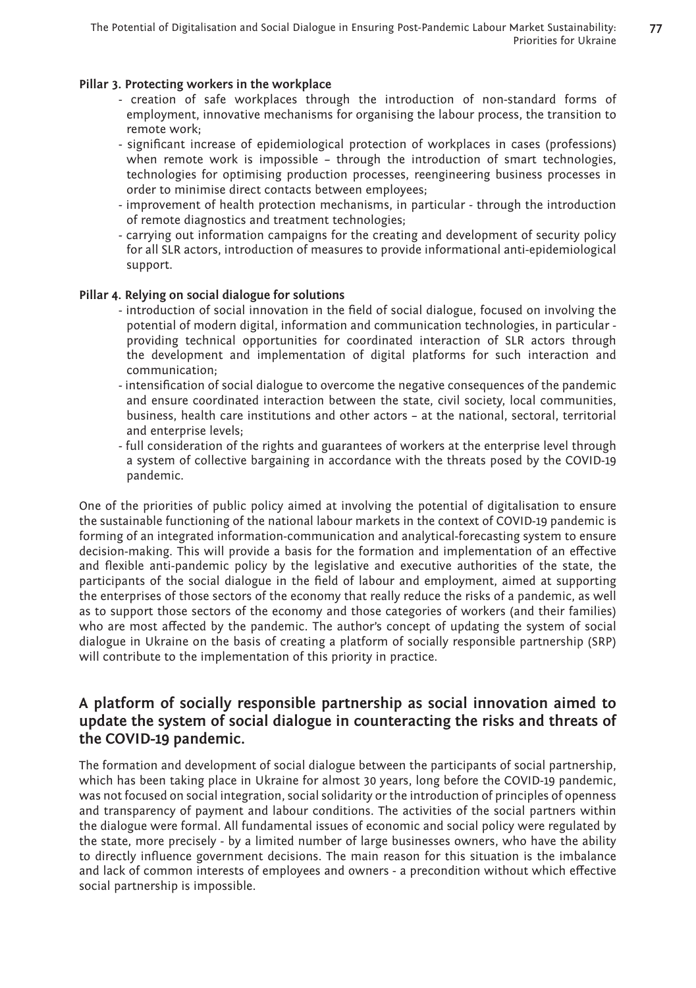**77**

### **Pillar 3. Protecting workers in the workplace**

- creation of safe workplaces through the introduction of non-standard forms of employment, innovative mechanisms for organising the labour process, the transition to remote work;
- significant increase of epidemiological protection of workplaces in cases (professions) when remote work is impossible – through the introduction of smart technologies, technologies for optimising production processes, reengineering business processes in order to minimise direct contacts between employees;
- improvement of health protection mechanisms, in particular through the introduction of remote diagnostics and treatment technologies;
- carrying out information campaigns for the creating and development of security policy for all SLR actors, introduction of measures to provide informational anti-epidemiological support.

#### **Pillar 4. Relying on social dialogue for solutions**

- introduction of social innovation in the field of social dialogue, focused on involving the potential of modern digital, information and communication technologies, in particular providing technical opportunities for coordinated interaction of SLR actors through the development and implementation of digital platforms for such interaction and communication;
- intensification of social dialogue to overcome the negative consequences of the pandemic and ensure coordinated interaction between the state, civil society, local communities, business, health care institutions and other actors – at the national, sectoral, territorial and enterprise levels;
- full consideration of the rights and guarantees of workers at the enterprise level through a system of collective bargaining in accordance with the threats posed by the COVID-19 pandemic.

One of the priorities of public policy aimed at involving the potential of digitalisation to ensure the sustainable functioning of the national labour markets in the context of COVID-19 pandemic is forming of an integrated information-communication and analytical-forecasting system to ensure decision-making. This will provide a basis for the formation and implementation of an effective and flexible anti-pandemic policy by the legislative and executive authorities of the state, the participants of the social dialogue in the field of labour and employment, aimed at supporting the enterprises of those sectors of the economy that really reduce the risks of a pandemic, as well as to support those sectors of the economy and those categories of workers (and their families) who are most affected by the pandemic. The author's concept of updating the system of social dialogue in Ukraine on the basis of creating a platform of socially responsible partnership (SRP) will contribute to the implementation of this priority in practice.

# **A platform of socially responsible partnership as social innovation aimed to update the system of social dialogue in counteracting the risks and threats of the COVID-19 pandemic.**

The formation and development of social dialogue between the participants of social partnership, which has been taking place in Ukraine for almost 30 years, long before the COVID-19 pandemic, was not focused on social integration, social solidarity or the introduction of principles of openness and transparency of payment and labour conditions. The activities of the social partners within the dialogue were formal. All fundamental issues of economic and social policy were regulated by the state, more precisely - by a limited number of large businesses owners, who have the ability to directly influence government decisions. The main reason for this situation is the imbalance and lack of common interests of employees and owners - a precondition without which effective social partnership is impossible.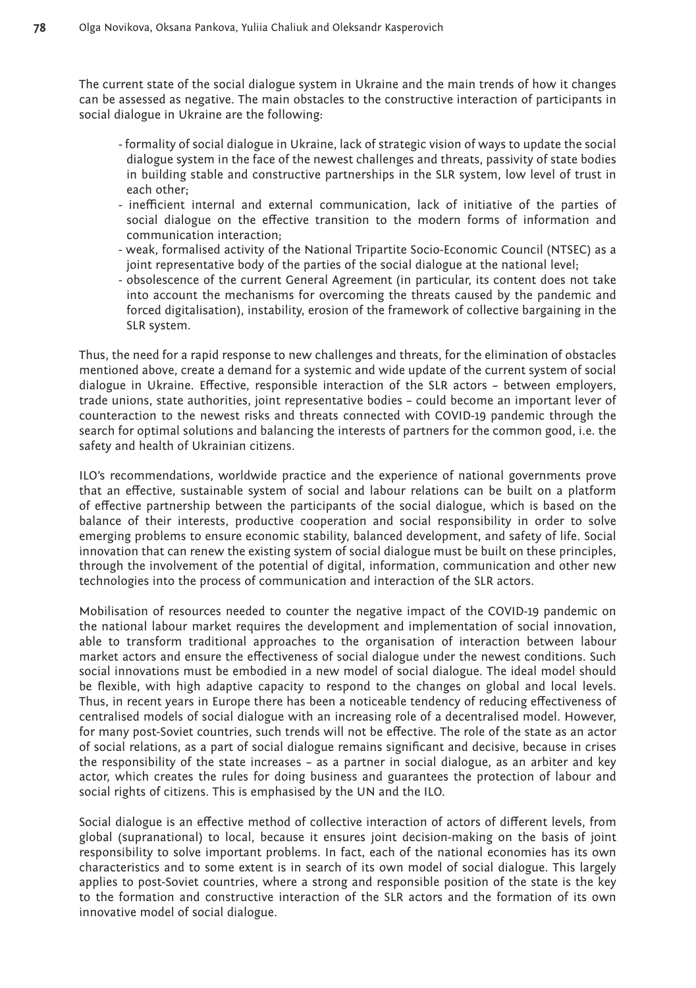The current state of the social dialogue system in Ukraine and the main trends of how it changes can be assessed as negative. The main obstacles to the constructive interaction of participants in social dialogue in Ukraine are the following:

- formality of social dialogue in Ukraine, lack of strategic vision of ways to update the social dialogue system in the face of the newest challenges and threats, passivity of state bodies in building stable and constructive partnerships in the SLR system, low level of trust in each other;
- inefficient internal and external communication, lack of initiative of the parties of social dialogue on the effective transition to the modern forms of information and communication interaction;
- weak, formalised activity of the National Tripartite Socio-Economic Council (NTSEC) as a joint representative body of the parties of the social dialogue at the national level;
- obsolescence of the current General Agreement (in particular, its content does not take into account the mechanisms for overcoming the threats caused by the pandemic and forced digitalisation), instability, erosion of the framework of collective bargaining in the SLR system.

Thus, the need for a rapid response to new challenges and threats, for the elimination of obstacles mentioned above, create a demand for a systemic and wide update of the current system of social dialogue in Ukraine. Effective, responsible interaction of the SLR actors – between employers, trade unions, state authorities, joint representative bodies – could become an important lever of counteraction to the newest risks and threats connected with COVID-19 pandemic through the search for optimal solutions and balancing the interests of partners for the common good, i.e. the safety and health of Ukrainian citizens.

ILO's recommendations, worldwide practice and the experience of national governments prove that an effective, sustainable system of social and labour relations can be built on a platform of effective partnership between the participants of the social dialogue, which is based on the balance of their interests, productive cooperation and social responsibility in order to solve emerging problems to ensure economic stability, balanced development, and safety of life. Social innovation that can renew the existing system of social dialogue must be built on these principles, through the involvement of the potential of digital, information, communication and other new technologies into the process of communication and interaction of the SLR actors.

Mobilisation of resources needed to counter the negative impact of the COVID-19 pandemic on the national labour market requires the development and implementation of social innovation, able to transform traditional approaches to the organisation of interaction between labour market actors and ensure the effectiveness of social dialogue under the newest conditions. Such social innovations must be embodied in a new model of social dialogue. The ideal model should be flexible, with high adaptive capacity to respond to the changes on global and local levels. Thus, in recent years in Europe there has been a noticeable tendency of reducing effectiveness of centralised models of social dialogue with an increasing role of a decentralised model. However, for many post-Soviet countries, such trends will not be effective. The role of the state as an actor of social relations, as a part of social dialogue remains significant and decisive, because in crises the responsibility of the state increases – as a partner in social dialogue, as an arbiter and key actor, which creates the rules for doing business and guarantees the protection of labour and social rights of citizens. This is emphasised by the UN and the ILO.

Social dialogue is an effective method of collective interaction of actors of different levels, from global (supranational) to local, because it ensures joint decision-making on the basis of joint responsibility to solve important problems. In fact, each of the national economies has its own characteristics and to some extent is in search of its own model of social dialogue. This largely applies to post-Soviet countries, where a strong and responsible position of the state is the key to the formation and constructive interaction of the SLR actors and the formation of its own innovative model of social dialogue.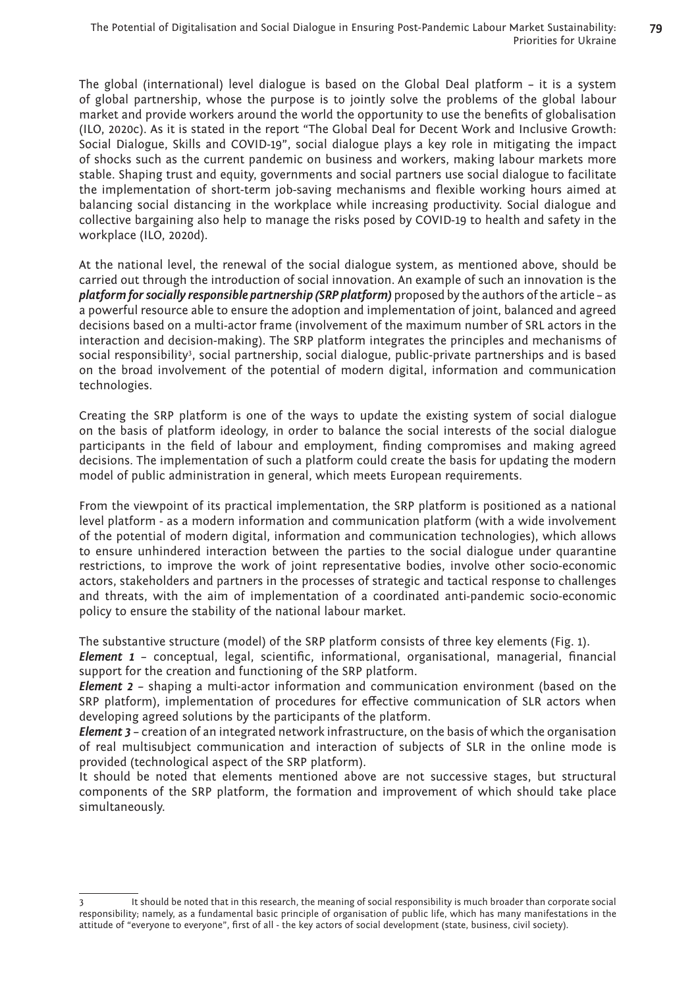**79**

The global (international) level dialogue is based on the Global Deal platform – it is a system of global partnership, whose the purpose is to jointly solve the problems of the global labour market and provide workers around the world the opportunity to use the benefits of globalisation (ILO, 2020c). As it is stated in the report "The Global Deal for Decent Work and Inclusive Growth: Social Dialogue, Skills and COVID-19", social dialogue plays a key role in mitigating the impact of shocks such as the current pandemic on business and workers, making labour markets more stable. Shaping trust and equity, governments and social partners use social dialogue to facilitate the implementation of short-term job-saving mechanisms and flexible working hours aimed at balancing social distancing in the workplace while increasing productivity. Social dialogue and collective bargaining also help to manage the risks posed by COVID-19 to health and safety in the workplace (ILO, 2020d).

At the national level, the renewal of the social dialogue system, as mentioned above, should be carried out through the introduction of social innovation. An example of such an innovation is the *platform for socially responsible partnership (SRP platform)* proposed by the authors of the article – as a powerful resource able to ensure the adoption and implementation of joint, balanced and agreed decisions based on a multi-actor frame (involvement of the maximum number of SRL actors in the interaction and decision-making). The SRP platform integrates the principles and mechanisms of social responsibility<sup>3</sup>, social partnership, social dialogue, public-private partnerships and is based on the broad involvement of the potential of modern digital, information and communication technologies.

Creating the SRP platform is one of the ways to update the existing system of social dialogue on the basis of platform ideology, in order to balance the social interests of the social dialogue participants in the field of labour and employment, finding compromises and making agreed decisions. The implementation of such a platform could create the basis for updating the modern model of public administration in general, which meets European requirements.

From the viewpoint of its practical implementation, the SRP platform is positioned as a national level platform - as a modern information and communication platform (with a wide involvement of the potential of modern digital, information and communication technologies), which allows to ensure unhindered interaction between the parties to the social dialogue under quarantine restrictions, to improve the work of joint representative bodies, involve other socio-economic actors, stakeholders and partners in the processes of strategic and tactical response to challenges and threats, with the aim of implementation of a coordinated anti-pandemic socio-economic policy to ensure the stability of the national labour market.

The substantive structure (model) of the SRP platform consists of three key elements (Fig. 1).

*Element 1* – conceptual, legal, scientific, informational, organisational, managerial, financial support for the creation and functioning of the SRP platform.

*Element 2* – shaping a multi-actor information and communication environment (based on the SRP platform), implementation of procedures for effective communication of SLR actors when developing agreed solutions by the participants of the platform.

*Element 3* – creation of an integrated network infrastructure, on the basis of which the organisation of real multisubject communication and interaction of subjects of SLR in the online mode is provided (technological aspect of the SRP platform).

It should be noted that elements mentioned above are not successive stages, but structural components of the SRP platform, the formation and improvement of which should take place simultaneously.

It should be noted that in this research, the meaning of social responsibility is much broader than corporate social responsibility; namely, as a fundamental basic principle of organisation of public life, which has many manifestations in the attitude of "everyone to everyone", first of all - the key actors of social development (state, business, civil society).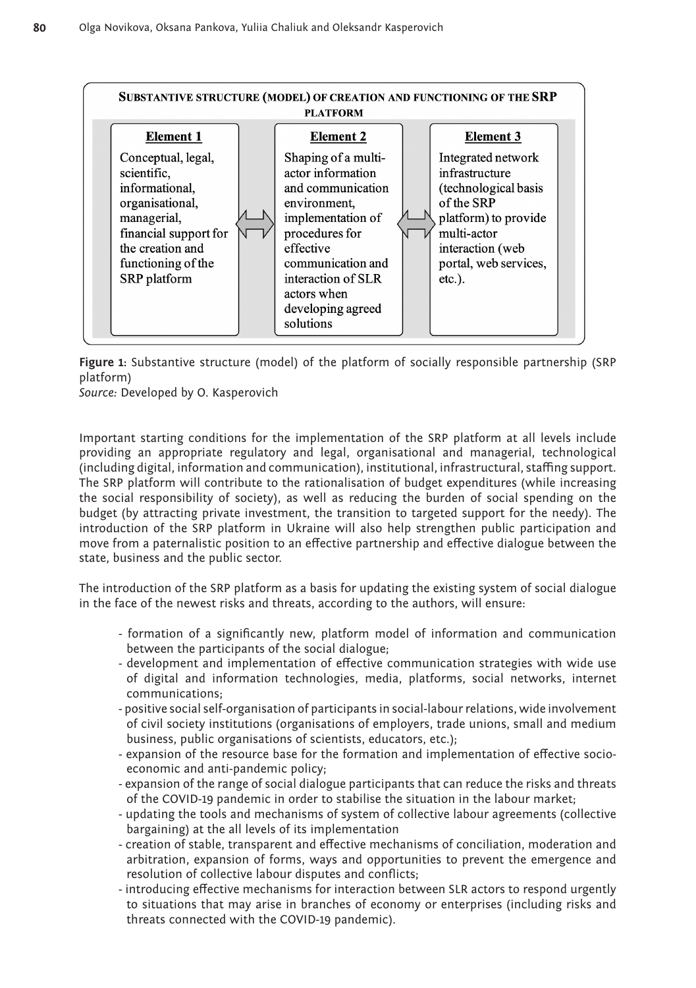

**Figure 1:** Substantive structure (model) of the platform of socially responsible partnership (SRP platform)

*Source:* Developed by O. Kasperovich

Important starting conditions for the implementation of the SRP platform at all levels include providing an appropriate regulatory and legal, organisational and managerial, technological (including digital, information and communication), institutional, infrastructural, staffing support. The SRP platform will contribute to the rationalisation of budget expenditures (while increasing the social responsibility of society), as well as reducing the burden of social spending on the budget (by attracting private investment, the transition to targeted support for the needy). The introduction of the SRP platform in Ukraine will also help strengthen public participation and move from a paternalistic position to an effective partnership and effective dialogue between the state, business and the public sector.

The introduction of the SRP platform as a basis for updating the existing system of social dialogue in the face of the newest risks and threats, according to the authors, will ensure:

- formation of a significantly new, platform model of information and communication between the participants of the social dialogue;
- development and implementation of effective communication strategies with wide use of digital and information technologies, media, platforms, social networks, internet communications;
- positive social self-organisation of participants in social-labour relations, wide involvement of civil society institutions (organisations of employers, trade unions, small and medium business, public organisations of scientists, educators, etc.);
- expansion of the resource base for the formation and implementation of effective socioeconomic and anti-pandemic policy;
- expansion of the range of social dialogue participants that can reduce the risks and threats of the COVID-19 pandemic in order to stabilise the situation in the labour market;
- updating the tools and mechanisms of system of collective labour agreements (collective bargaining) at the all levels of its implementation
- creation of stable, transparent and effective mechanisms of conciliation, moderation and arbitration, expansion of forms, ways and opportunities to prevent the emergence and resolution of collective labour disputes and conflicts;
- introducing effective mechanisms for interaction between SLR actors to respond urgently to situations that may arise in branches of economy or enterprises (including risks and threats connected with the COVID-19 pandemic).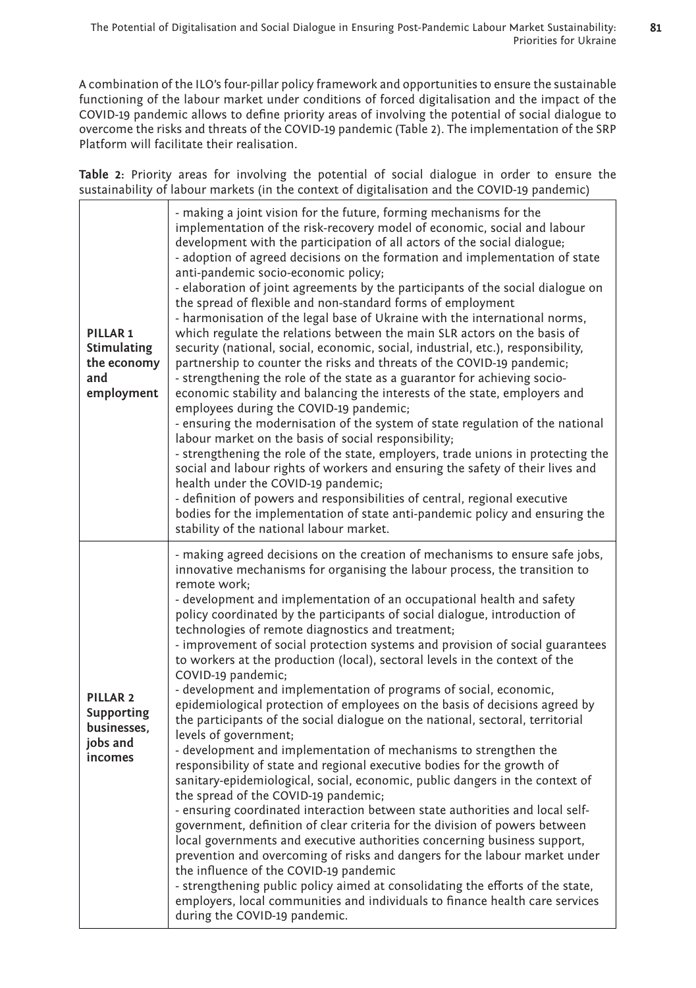A combination of the ILO's four-pillar policy framework and opportunities to ensure the sustainable functioning of the labour market under conditions of forced digitalisation and the impact of the COVID-19 pandemic allows to define priority areas of involving the potential of social dialogue to overcome the risks and threats of the COVID-19 pandemic (Table 2). The implementation of the SRP Platform will facilitate their realisation.

**Table 2:** Priority areas for involving the potential of social dialogue in order to ensure the sustainability of labour markets (in the context of digitalisation and the COVID-19 pandemic)

| PILLAR <sub>1</sub><br>Stimulating<br>the economy<br>and<br>employment  | - making a joint vision for the future, forming mechanisms for the<br>implementation of the risk-recovery model of economic, social and labour<br>development with the participation of all actors of the social dialogue;<br>- adoption of agreed decisions on the formation and implementation of state<br>anti-pandemic socio-economic policy;<br>- elaboration of joint agreements by the participants of the social dialogue on<br>the spread of flexible and non-standard forms of employment<br>- harmonisation of the legal base of Ukraine with the international norms,<br>which regulate the relations between the main SLR actors on the basis of<br>security (national, social, economic, social, industrial, etc.), responsibility,<br>partnership to counter the risks and threats of the COVID-19 pandemic;<br>- strengthening the role of the state as a guarantor for achieving socio-<br>economic stability and balancing the interests of the state, employers and<br>employees during the COVID-19 pandemic;<br>- ensuring the modernisation of the system of state regulation of the national<br>labour market on the basis of social responsibility;<br>- strengthening the role of the state, employers, trade unions in protecting the<br>social and labour rights of workers and ensuring the safety of their lives and<br>health under the COVID-19 pandemic;<br>- definition of powers and responsibilities of central, regional executive<br>bodies for the implementation of state anti-pandemic policy and ensuring the<br>stability of the national labour market.                                                                                       |
|-------------------------------------------------------------------------|------------------------------------------------------------------------------------------------------------------------------------------------------------------------------------------------------------------------------------------------------------------------------------------------------------------------------------------------------------------------------------------------------------------------------------------------------------------------------------------------------------------------------------------------------------------------------------------------------------------------------------------------------------------------------------------------------------------------------------------------------------------------------------------------------------------------------------------------------------------------------------------------------------------------------------------------------------------------------------------------------------------------------------------------------------------------------------------------------------------------------------------------------------------------------------------------------------------------------------------------------------------------------------------------------------------------------------------------------------------------------------------------------------------------------------------------------------------------------------------------------------------------------------------------------------------------------------------------------------------------------------------------------------------------------------------|
| PILLAR <sub>2</sub><br>Supporting<br>businesses,<br>jobs and<br>incomes | - making agreed decisions on the creation of mechanisms to ensure safe jobs,<br>innovative mechanisms for organising the labour process, the transition to<br>remote work;<br>- development and implementation of an occupational health and safety<br>policy coordinated by the participants of social dialogue, introduction of<br>technologies of remote diagnostics and treatment;<br>- improvement of social protection systems and provision of social guarantees<br>to workers at the production (local), sectoral levels in the context of the<br>COVID-19 pandemic;<br>- development and implementation of programs of social, economic,<br>epidemiological protection of employees on the basis of decisions agreed by<br>the participants of the social dialogue on the national, sectoral, territorial<br>levels of government;<br>- development and implementation of mechanisms to strengthen the<br>responsibility of state and regional executive bodies for the growth of<br>sanitary-epidemiological, social, economic, public dangers in the context of<br>the spread of the COVID-19 pandemic;<br>- ensuring coordinated interaction between state authorities and local self-<br>government, definition of clear criteria for the division of powers between<br>local governments and executive authorities concerning business support,<br>prevention and overcoming of risks and dangers for the labour market under<br>the influence of the COVID-19 pandemic<br>- strengthening public policy aimed at consolidating the efforts of the state,<br>employers, local communities and individuals to finance health care services<br>during the COVID-19 pandemic. |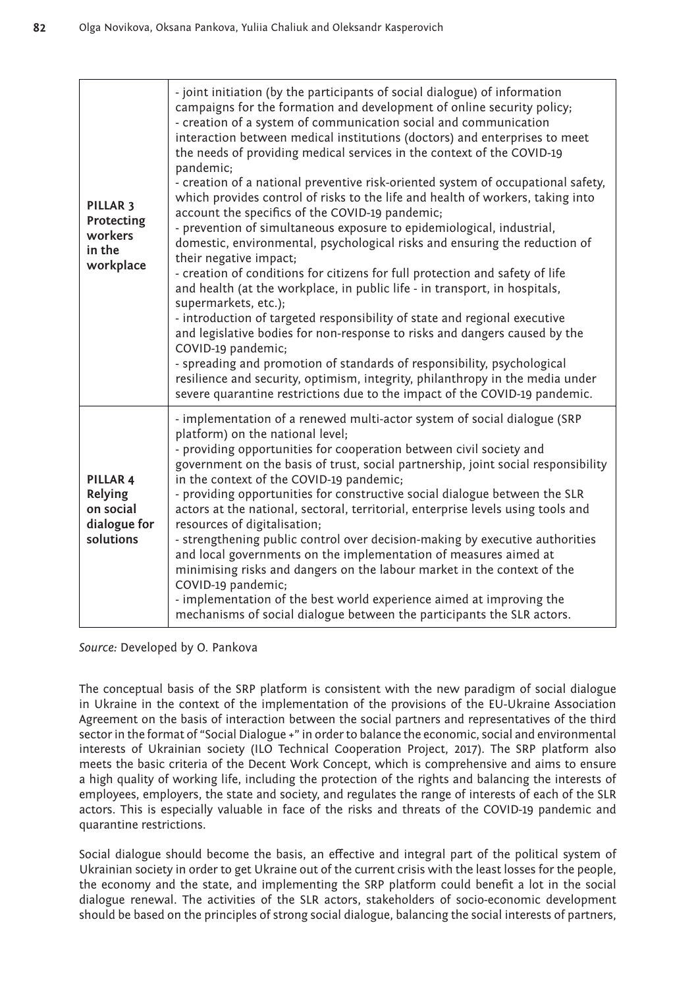| PILLAR <sub>3</sub><br>Protecting<br>workers<br>in the<br>workplace | - joint initiation (by the participants of social dialogue) of information<br>campaigns for the formation and development of online security policy;<br>- creation of a system of communication social and communication<br>interaction between medical institutions (doctors) and enterprises to meet<br>the needs of providing medical services in the context of the COVID-19<br>pandemic;<br>- creation of a national preventive risk-oriented system of occupational safety,<br>which provides control of risks to the life and health of workers, taking into<br>account the specifics of the COVID-19 pandemic;<br>- prevention of simultaneous exposure to epidemiological, industrial,<br>domestic, environmental, psychological risks and ensuring the reduction of<br>their negative impact;<br>- creation of conditions for citizens for full protection and safety of life<br>and health (at the workplace, in public life - in transport, in hospitals,<br>supermarkets, etc.);<br>- introduction of targeted responsibility of state and regional executive<br>and legislative bodies for non-response to risks and dangers caused by the<br>COVID-19 pandemic;<br>- spreading and promotion of standards of responsibility, psychological<br>resilience and security, optimism, integrity, philanthropy in the media under<br>severe quarantine restrictions due to the impact of the COVID-19 pandemic. |
|---------------------------------------------------------------------|--------------------------------------------------------------------------------------------------------------------------------------------------------------------------------------------------------------------------------------------------------------------------------------------------------------------------------------------------------------------------------------------------------------------------------------------------------------------------------------------------------------------------------------------------------------------------------------------------------------------------------------------------------------------------------------------------------------------------------------------------------------------------------------------------------------------------------------------------------------------------------------------------------------------------------------------------------------------------------------------------------------------------------------------------------------------------------------------------------------------------------------------------------------------------------------------------------------------------------------------------------------------------------------------------------------------------------------------------------------------------------------------------------------------------|
| PILLAR 4<br>Relying<br>on social<br>dialogue for<br>solutions       | - implementation of a renewed multi-actor system of social dialogue (SRP<br>platform) on the national level;<br>- providing opportunities for cooperation between civil society and<br>government on the basis of trust, social partnership, joint social responsibility<br>in the context of the COVID-19 pandemic;<br>- providing opportunities for constructive social dialogue between the SLR<br>actors at the national, sectoral, territorial, enterprise levels using tools and<br>resources of digitalisation;<br>- strengthening public control over decision-making by executive authorities<br>and local governments on the implementation of measures aimed at<br>minimising risks and dangers on the labour market in the context of the<br>COVID-19 pandemic;<br>- implementation of the best world experience aimed at improving the<br>mechanisms of social dialogue between the participants the SLR actors.                                                                                                                                                                                                                                                                                                                                                                                                                                                                                            |

*Source:* Developed by O. Pankova

The conceptual basis of the SRP platform is consistent with the new paradigm of social dialogue in Ukraine in the context of the implementation of the provisions of the EU-Ukraine Association Agreement on the basis of interaction between the social partners and representatives of the third sector in the format of "Social Dialogue +" in order to balance the economic, social and environmental interests of Ukrainian society (ILO Technical Cooperation Project, 2017). The SRP platform also meets the basic criteria of the Decent Work Concept, which is comprehensive and aims to ensure a high quality of working life, including the protection of the rights and balancing the interests of employees, employers, the state and society, and regulates the range of interests of each of the SLR actors. This is especially valuable in face of the risks and threats of the COVID-19 pandemic and quarantine restrictions.

Social dialogue should become the basis, an effective and integral part of the political system of Ukrainian society in order to get Ukraine out of the current crisis with the least losses for the people, the economy and the state, and implementing the SRP platform could benefit a lot in the social dialogue renewal. The activities of the SLR actors, stakeholders of socio-economic development should be based on the principles of strong social dialogue, balancing the social interests of partners,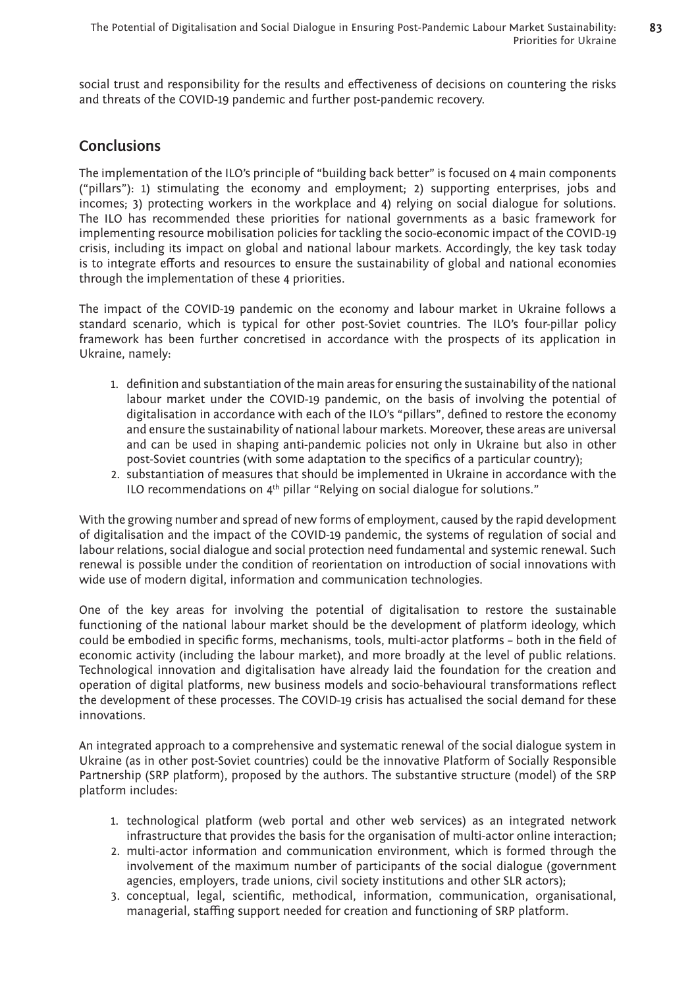social trust and responsibility for the results and effectiveness of decisions on countering the risks and threats of the COVID-19 pandemic and further post-pandemic recovery.

# **Conclusions**

The implementation of the ILO's principle of "building back better" is focused on 4 main components ("pillars"): 1) stimulating the economy and employment; 2) supporting enterprises, jobs and incomes; 3) protecting workers in the workplace and 4) relying on social dialogue for solutions. The ILO has recommended these priorities for national governments as a basic framework for implementing resource mobilisation policies for tackling the socio-economic impact of the COVID-19 crisis, including its impact on global and national labour markets. Accordingly, the key task today is to integrate efforts and resources to ensure the sustainability of global and national economies through the implementation of these 4 priorities.

The impact of the COVID-19 pandemic on the economy and labour market in Ukraine follows a standard scenario, which is typical for other post-Soviet countries. The ILO's four-pillar policy framework has been further concretised in accordance with the prospects of its application in Ukraine, namely:

- 1. definition and substantiation of the main areas for ensuring the sustainability of the national labour market under the COVID-19 pandemic, on the basis of involving the potential of digitalisation in accordance with each of the ILO's "pillars", defined to restore the economy and ensure the sustainability of national labour markets. Moreover, these areas are universal and can be used in shaping anti-pandemic policies not only in Ukraine but also in other post-Soviet countries (with some adaptation to the specifics of a particular country);
- 2. substantiation of measures that should be implemented in Ukraine in accordance with the ILO recommendations on  $4<sup>th</sup>$  pillar "Relying on social dialogue for solutions."

With the growing number and spread of new forms of employment, caused by the rapid development of digitalisation and the impact of the COVID-19 pandemic, the systems of regulation of social and labour relations, social dialogue and social protection need fundamental and systemic renewal. Such renewal is possible under the condition of reorientation on introduction of social innovations with wide use of modern digital, information and communication technologies.

One of the key areas for involving the potential of digitalisation to restore the sustainable functioning of the national labour market should be the development of platform ideology, which could be embodied in specific forms, mechanisms, tools, multi-actor platforms – both in the field of economic activity (including the labour market), and more broadly at the level of public relations. Technological innovation and digitalisation have already laid the foundation for the creation and operation of digital platforms, new business models and socio-behavioural transformations reflect the development of these processes. The COVID-19 crisis has actualised the social demand for these innovations.

An integrated approach to a comprehensive and systematic renewal of the social dialogue system in Ukraine (as in other post-Soviet countries) could be the innovative Platform of Socially Responsible Partnership (SRP platform), proposed by the authors. The substantive structure (model) of the SRP platform includes:

- 1. technological platform (web portal and other web services) as an integrated network infrastructure that provides the basis for the organisation of multi-actor online interaction;
- 2. multi-actor information and communication environment, which is formed through the involvement of the maximum number of participants of the social dialogue (government agencies, employers, trade unions, civil society institutions and other SLR actors);
- 3. conceptual, legal, scientific, methodical, information, communication, organisational, managerial, staffing support needed for creation and functioning of SRP platform.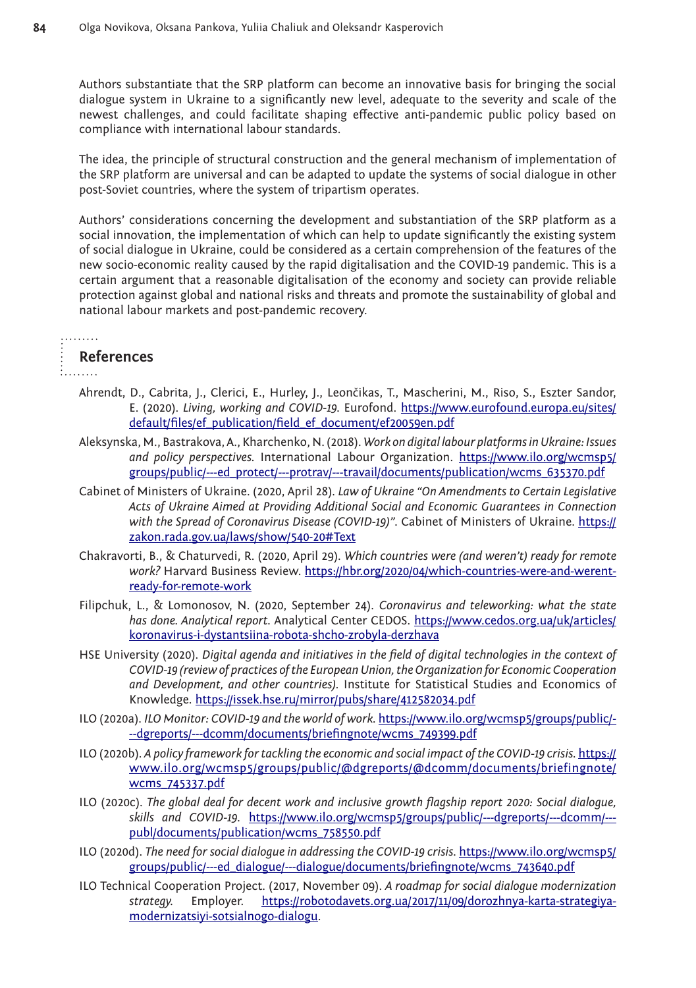Authors substantiate that the SRP platform can become an innovative basis for bringing the social dialogue system in Ukraine to a significantly new level, adequate to the severity and scale of the newest challenges, and could facilitate shaping effective anti-pandemic public policy based on compliance with international labour standards.

The idea, the principle of structural construction and the general mechanism of implementation of the SRP platform are universal and can be adapted to update the systems of social dialogue in other post-Soviet countries, where the system of tripartism operates.

Authors' considerations concerning the development and substantiation of the SRP platform as a social innovation, the implementation of which can help to update significantly the existing system of social dialogue in Ukraine, could be considered as a certain comprehension of the features of the new socio-economic reality caused by the rapid digitalisation and the COVID-19 pandemic. This is a certain argument that a reasonable digitalisation of the economy and society can provide reliable protection against global and national risks and threats and promote the sustainability of global and national labour markets and post-pandemic recovery.

# **References**

- Ahrendt, D., Cabrita, J., Clerici, E., Hurley, J., Leončikas, T., Mascherini, M., Riso, S., Eszter Sandor, E. (2020). *Living, working and COVID-19.* Eurofond. [https://www.eurofound.europa.eu/sites/](https://www.eurofound.europa.eu/sites/default/files/ef_publication/field_ef_document/ef20059en.pdf) [default/files/ef\\_publication/field\\_ef\\_document/ef20059en.pdf](https://www.eurofound.europa.eu/sites/default/files/ef_publication/field_ef_document/ef20059en.pdf)
- Aleksynska, M., Bastrakova, A., Kharchenko, N. (2018). *Work on digital labour platforms in Ukraine: Issues and policy perspectives.* International Labour Organization. [https://www.ilo.org/wcmsp5/](https://www.ilo.org/wcmsp5/groups/public/---ed_protect/---protrav/---travail/documents/publication/wcms_635370.pdf) [groups/public/---ed\\_protect/---protrav/---travail/documents/publication/wcms\\_635370.pdf](https://www.ilo.org/wcmsp5/groups/public/---ed_protect/---protrav/---travail/documents/publication/wcms_635370.pdf)
- Cabinet of Ministers of Ukraine. (2020, April 28). *Law of Ukraine "On Amendments to Certain Legislative Acts of Ukraine Aimed at Providing Additional Social and Economic Guarantees in Connection with the Spread of Coronavirus Disease (COVID-19)".* Cabinet of Ministers of Ukraine. [https://](https://zakon.rada.gov.ua/laws/show/540-20#Text) [zakon.rada.gov.ua/laws/show/540-20#Text](https://zakon.rada.gov.ua/laws/show/540-20#Text)
- Chakravorti, B., & Chaturvedi, R. (2020, April 29). *Which countries were (and weren't) ready for remote work?* Harvard Business Review. [https://hbr.org/2020/04/which-countries-were-and-werent](https://hbr.org/2020/04/which-countries-were-and-werent-ready-for-remote-work)[ready-for-remote-work](https://hbr.org/2020/04/which-countries-were-and-werent-ready-for-remote-work)
- Filipchuk, L., & Lomonosov, N. (2020, September 24). *Coronavirus and teleworking: what the state has done. Analytical report.* Analytical Center CEDOS. [https://www.cedos.org.ua/uk/articles/](https://www.cedos.org.ua/uk/articles/koronavirus-i-dystantsiina-robota-shcho-zrobyla-derzhava) [koronavirus-i-dystantsiina-robota-shcho-zrobyla-derzhava](https://www.cedos.org.ua/uk/articles/koronavirus-i-dystantsiina-robota-shcho-zrobyla-derzhava)
- HSE University (2020). *Digital agenda and initiatives in the field of digital technologies in the context of COVID-19 (review of practices of the European Union, the Organization for Economic Cooperation and Development, and other countries).* Institute for Statistical Studies and Economics of Knowledge.<https://issek.hse.ru/mirror/pubs/share/412582034.pdf>
- ILO (2020a). *ILO Monitor: COVID-19 and the world of work.* [https://www.ilo.org/wcmsp5/groups/public/-](https://www.ilo.org/wcmsp5/groups/public/---dgreports/---dcomm/documents/briefingnote/wcms_749399.pdf) [--dgreports/---dcomm/documents/briefingnote/wcms\\_749399.pdf](https://www.ilo.org/wcmsp5/groups/public/---dgreports/---dcomm/documents/briefingnote/wcms_749399.pdf)
- ILO (2020b). *A policy framework for tackling the economic and social impact of the COVID-19 crisis.* [https://](https://www.ilo.org/wcmsp5/groups/public/@dgreports/@dcomm/documents/briefingnote/wcms_745337.pdf) [www.ilo.org/wcmsp5/groups/public/@dgreports/@dcomm/documents/briefingnote/](https://www.ilo.org/wcmsp5/groups/public/@dgreports/@dcomm/documents/briefingnote/wcms_745337.pdf) [wcms\\_745337.pdf](https://www.ilo.org/wcmsp5/groups/public/@dgreports/@dcomm/documents/briefingnote/wcms_745337.pdf)
- ILO (2020c). *The global deal for decent work and inclusive growth flagship report 2020: Social dialogue, skills and COVID-19.* [https://www.ilo.org/wcmsp5/groups/public/---dgreports/---dcomm/--](https://www.ilo.org/wcmsp5/groups/public/---dgreports/---dcomm/---publ/documents/publication/wcms_758550.pdf) [publ/documents/publication/wcms\\_758550.pdf](https://www.ilo.org/wcmsp5/groups/public/---dgreports/---dcomm/---publ/documents/publication/wcms_758550.pdf)
- ILO (2020d). *The need for social dialogue in addressing the COVID-19 crisis.* [https://www.ilo.org/wcmsp5/](https://www.ilo.org/wcmsp5/groups/public/---ed_dialogue/---dialogue/documents/briefingnote/wcms_743640.pdf) [groups/public/---ed\\_dialogue/---dialogue/documents/briefingnote/wcms\\_743640.pdf](https://www.ilo.org/wcmsp5/groups/public/---ed_dialogue/---dialogue/documents/briefingnote/wcms_743640.pdf)
- ILO Technical Cooperation Project. (2017, November 09). *A roadmap for social dialogue modernization strategy.* Employer. [https://robotodavets.org.ua/2017/11/09/dorozhnya-karta-strategiya](https://robotodavets.org.ua/2017/11/09/dorozhnya-karta-strategiya-modernizatsiyi-sotsialnogo-dialogu)[modernizatsiyi-sotsialnogo-dialogu.](https://robotodavets.org.ua/2017/11/09/dorozhnya-karta-strategiya-modernizatsiyi-sotsialnogo-dialogu)